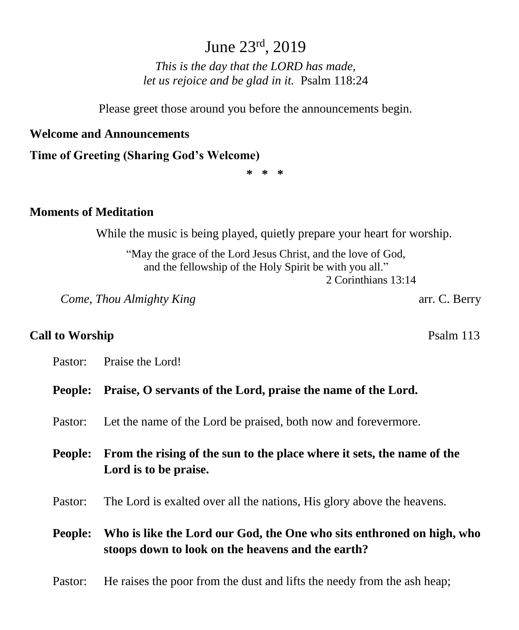June 23rd, 2019

*This is the day that the LORD has made, let us rejoice and be glad in it.* Psalm 118:24

Please greet those around you before the announcements begin.

## **Welcome and Announcements**

**Time of Greeting (Sharing God's Welcome)**

**\* \* \***

## **Moments of Meditation**

While the music is being played, quietly prepare your heart for worship.

"May the grace of the Lord Jesus Christ, and the love of God, and the fellowship of the Holy Spirit be with you all." 2 Corinthians 13:14

*Come, Thou Almighty King* **arr. C. Berry** 

## **Call to Worship** Psalm 113

Pastor: Praise the Lord!

| People:        | Praise, O servants of the Lord, praise the name of the Lord.                                                               |
|----------------|----------------------------------------------------------------------------------------------------------------------------|
| Pastor:        | Let the name of the Lord be praised, both now and forevermore.                                                             |
| <b>People:</b> | From the rising of the sun to the place where it sets, the name of the<br>Lord is to be praise.                            |
| Pastor:        | The Lord is exalted over all the nations, His glory above the heavens.                                                     |
| People:        | Who is like the Lord our God, the One who sits enthroned on high, who<br>stoops down to look on the heavens and the earth? |
| Pastor:        | He raises the poor from the dust and lifts the needy from the ash heap;                                                    |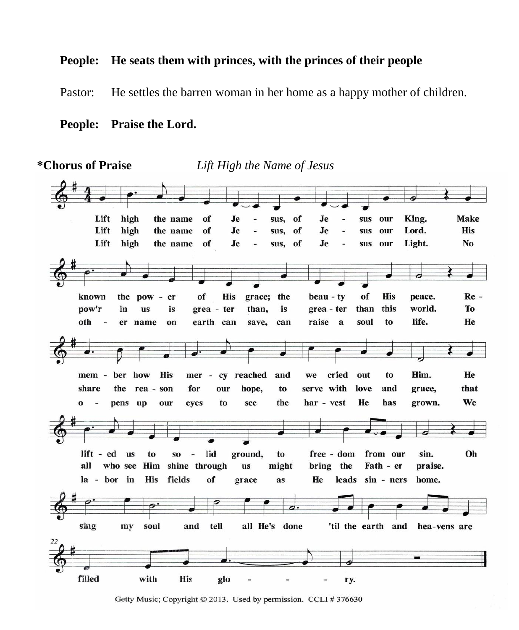#### **People: He seats them with princes, with the princes of their people**

Pastor: He settles the barren woman in her home as a happy mother of children.

### **People: Praise the Lord.**

**\*Chorus of Praise** *Lift High the Name of Jesus* 

Lift high the name of Je. sus. of Je. sus our King. **Make** Lift high the name of **Je** sus, of **Je** our Lord. His L, Ľ. sus Lift high the name Je of **Je** Light. No of sus, sus our known the pow - er of **His** grace; the beau - tv of **His** peace.  $Re$ pow'r in is grea - ter than, is grea - ter than this world. To **us** earth can life. oth er name save, can raise a soul to He  $\sim$ on **His** mer - cy reached we cried Him. He mem ber how and out to share the rea  $\overline{\phantom{a}}$ son for our hope, to serve with love and grace, that the har - vest He We pens up eyes see has grown.  $\mathbf{o}$  $\overline{a}$ our to lift - ed ground, us to  $SO$  $\overline{\phantom{a}}$ lid to free - dom from our sin. Oh all who see Him shine through **us** might bring the Fath - er praise. la - bor in **His** fields of He leads sin - ners home. grace as 0. all He's done sing my soul and tell 'til the earth and hea-vens are filled with His glo ry.

Getty Music; Copyright © 2013. Used by permission. CCLI #376630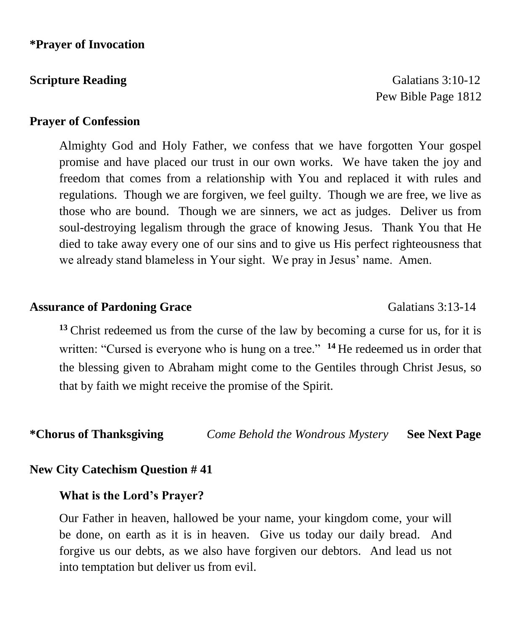#### **\*Prayer of Invocation**

**Scripture Reading** Galatians 3:10-12 Pew Bible Page 1812

### **Prayer of Confession**

Almighty God and Holy Father, we confess that we have forgotten Your gospel promise and have placed our trust in our own works. We have taken the joy and freedom that comes from a relationship with You and replaced it with rules and regulations. Though we are forgiven, we feel guilty. Though we are free, we live as those who are bound. Though we are sinners, we act as judges. Deliver us from soul-destroying legalism through the grace of knowing Jesus. Thank You that He died to take away every one of our sins and to give us His perfect righteousness that we already stand blameless in Your sight. We pray in Jesus' name. Amen.

## Assurance of Pardoning Grace Galatians 3:13-14

**<sup>13</sup>** Christ redeemed us from the curse of the law by becoming a curse for us, for it is written: "Cursed is everyone who is hung on a tree." <sup>14</sup> He redeemed us in order that the blessing given to Abraham might come to the Gentiles through Christ Jesus, so that by faith we might receive the promise of the Spirit.

**\*Chorus of Thanksgiving** *Come Behold the Wondrous Mystery* **See Next Page**

#### **New City Catechism Question # 41**

### **What is the Lord's Prayer?**

Our Father in heaven, hallowed be your name, your kingdom come, your will be done, on earth as it is in heaven. Give us today our daily bread. And forgive us our debts, as we also have forgiven our debtors. And lead us not into temptation but deliver us from evil.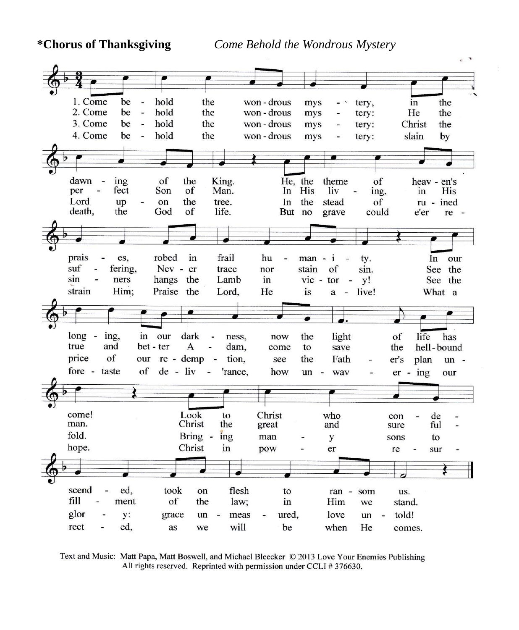**\*Chorus of Thanksgiving** *Come Behold the Wondrous Mystery* 



Text and Music: Matt Papa, Matt Boswell, and Michael Bleecker © 2013 Love Your Enemies Publishing All rights reserved. Reprinted with permission under CCLI #376630.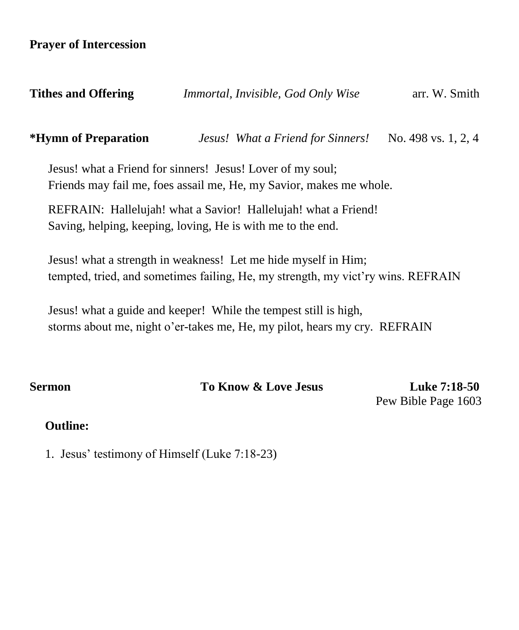| <b>Tithes and Offering</b>                                                                                                        | Immortal, Invisible, God Only Wise                                                                                                                 | arr. W. Smith       |  |  |  |  |  |
|-----------------------------------------------------------------------------------------------------------------------------------|----------------------------------------------------------------------------------------------------------------------------------------------------|---------------------|--|--|--|--|--|
| <i><b>*Hymn of Preparation</b></i>                                                                                                | Jesus! What a Friend for Sinners!                                                                                                                  | No. 498 vs. 1, 2, 4 |  |  |  |  |  |
| Jesus! what a Friend for sinners! Jesus! Lover of my soul;<br>Friends may fail me, foes assail me, He, my Savior, makes me whole. |                                                                                                                                                    |                     |  |  |  |  |  |
|                                                                                                                                   | REFRAIN: Hallelujah! what a Savior! Hallelujah! what a Friend!<br>Saving, helping, keeping, loving, He is with me to the end.                      |                     |  |  |  |  |  |
|                                                                                                                                   | Jesus! what a strength in weakness! Let me hide myself in Him;<br>tempted, tried, and sometimes failing, He, my strength, my vict'ry wins. REFRAIN |                     |  |  |  |  |  |

Jesus! what a guide and keeper! While the tempest still is high, storms about me, night o'er-takes me, He, my pilot, hears my cry. REFRAIN

# **Sermon** To Know & Love Jesus Luke 7:18-50

Pew Bible Page 1603

# **Outline:**

1. Jesus' testimony of Himself (Luke 7:18-23)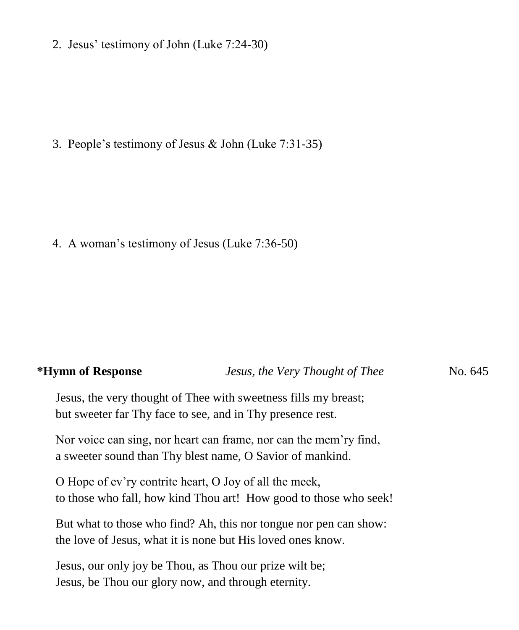2. Jesus' testimony of John (Luke 7:24-30)

3. People's testimony of Jesus & John (Luke 7:31-35)

4. A woman's testimony of Jesus (Luke 7:36-50)

**\*Hymn of Response** *Jesus, the Very Thought of Thee* No. 645

Jesus, the very thought of Thee with sweetness fills my breast; but sweeter far Thy face to see, and in Thy presence rest.

Nor voice can sing, nor heart can frame, nor can the mem'ry find, a sweeter sound than Thy blest name, O Savior of mankind.

O Hope of ev'ry contrite heart, O Joy of all the meek, to those who fall, how kind Thou art! How good to those who seek!

But what to those who find? Ah, this nor tongue nor pen can show: the love of Jesus, what it is none but His loved ones know.

Jesus, our only joy be Thou, as Thou our prize wilt be; Jesus, be Thou our glory now, and through eternity.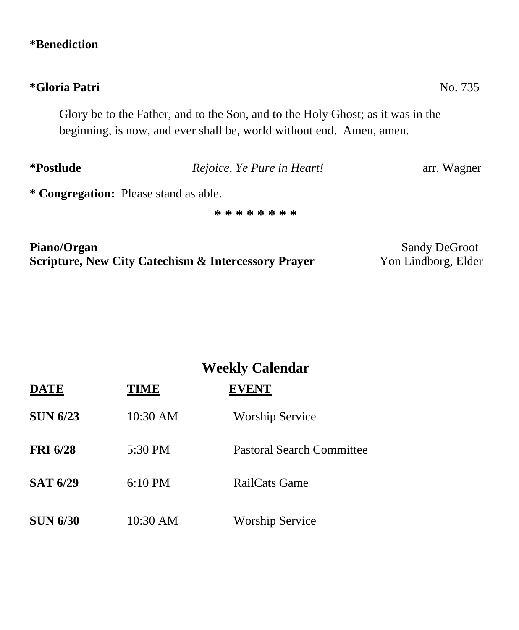# **\*Benediction**

| <i>*Gloria Patri</i><br>No. 735                                                                                                                         |                            |                      |  |  |
|---------------------------------------------------------------------------------------------------------------------------------------------------------|----------------------------|----------------------|--|--|
| Glory be to the Father, and to the Son, and to the Holy Ghost; as it was in the<br>beginning, is now, and ever shall be, world without end. Amen, amen. |                            |                      |  |  |
| *Postlude                                                                                                                                               | Rejoice, Ye Pure in Heart! | arr. Wagner          |  |  |
| * Congregation: Please stand as able.                                                                                                                   |                            |                      |  |  |
|                                                                                                                                                         | * * * * * * * *            |                      |  |  |
| Piano/Organ                                                                                                                                             |                            | <b>Sandy DeGroot</b> |  |  |

**Scripture, New City Catechism & Intercessory Prayer** Yon Lindborg, Elder

|                 | <b>Weekly Calendar</b> |                           |  |
|-----------------|------------------------|---------------------------|--|
| <b>DATE</b>     | <b>TIME</b>            | <b>EVENT</b>              |  |
| <b>SUN 6/23</b> | 10:30 AM               | <b>Worship Service</b>    |  |
| <b>FRI 6/28</b> | 5:30 PM                | Pastoral Search Committee |  |
| <b>SAT 6/29</b> | $6:10$ PM              | RailCats Game             |  |
| <b>SUN 6/30</b> | 10:30 AM               | <b>Worship Service</b>    |  |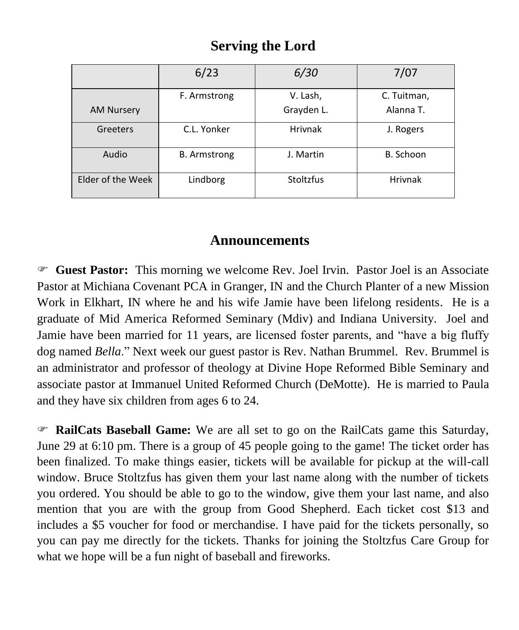# **Serving the Lord**

|                   | 6/23                | 6/30           | 7/07           |
|-------------------|---------------------|----------------|----------------|
|                   | F. Armstrong        | V. Lash,       | C. Tuitman,    |
| <b>AM Nursery</b> |                     | Grayden L.     | Alanna T.      |
| Greeters          | C.L. Yonker         | <b>Hrivnak</b> | J. Rogers      |
| Audio             | <b>B.</b> Armstrong | J. Martin      | B. Schoon      |
| Elder of the Week | Lindborg            | Stoltzfus      | <b>Hrivnak</b> |

# **Announcements**

 **Guest Pastor:** This morning we welcome Rev. Joel Irvin. Pastor Joel is an Associate Pastor at Michiana Covenant PCA in Granger, IN and the Church Planter of a new Mission Work in Elkhart, IN where he and his wife Jamie have been lifelong residents. He is a graduate of Mid America Reformed Seminary (Mdiv) and Indiana University. Joel and Jamie have been married for 11 years, are licensed foster parents, and "have a big fluffy dog named *Bella*." Next week our guest pastor is Rev. Nathan Brummel. Rev. Brummel is an administrator and professor of theology at Divine Hope Reformed Bible Seminary and associate pastor at Immanuel United Reformed Church (DeMotte). He is married to Paula and they have six children from ages 6 to 24.

 **RailCats Baseball Game:** We are all set to go on the RailCats game this Saturday, June 29 at 6:10 pm. There is a group of 45 people going to the game! The ticket order has been finalized. To make things easier, tickets will be available for pickup at the will-call window. Bruce Stoltzfus has given them your last name along with the number of tickets you ordered. You should be able to go to the window, give them your last name, and also mention that you are with the group from Good Shepherd. Each ticket cost \$13 and includes a \$5 voucher for food or merchandise. I have paid for the tickets personally, so you can pay me directly for the tickets. Thanks for joining the Stoltzfus Care Group for what we hope will be a fun night of baseball and fireworks.